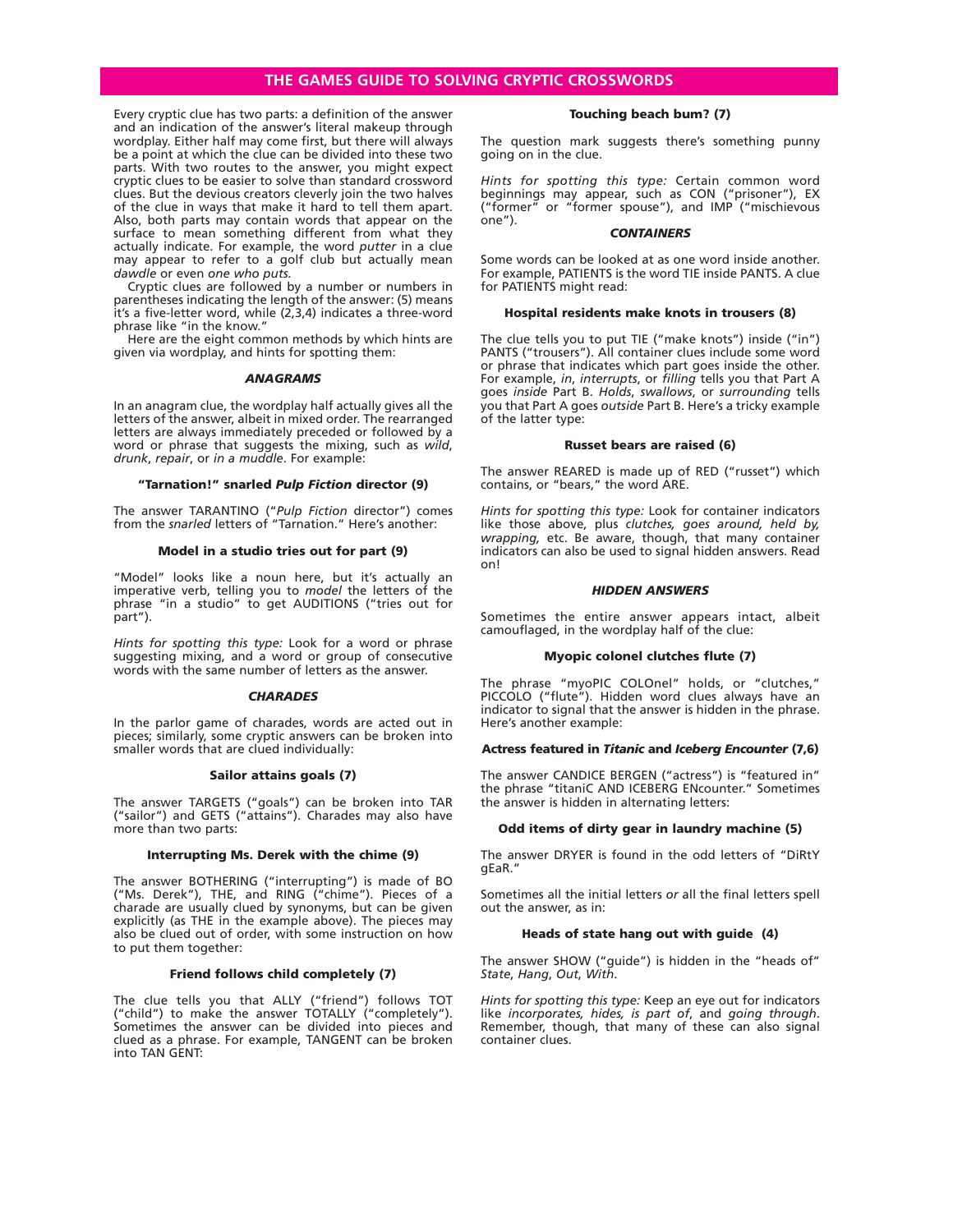# **THE GAMES GUIDE TO SOLVING CRYPTIC CROSSWORDS**

Every cryptic clue has two parts: a definition of the answer and an indication of the answer's literal makeup through wordplay. Either half may come first, but there will always be a point at which the clue can be divided into these two parts. With two routes to the answer, you might expect cryptic clues to be easier to solve than standard crossword clues. But the devious creators cleverly join the two halves of the clue in ways that make it hard to tell them apart. Also, both parts may contain words that appear on the surface to mean something different from what they actually indicate. For example, the word *putter* in a clue may appear to refer to a golf club but actually mean *dawdle* or even *one who puts.*

Cryptic clues are followed by a number or numbers in parentheses indicating the length of the answer: (5) means it's a five-letter word, while (2,3,4) indicates a three-word phrase like "in the know."

Here are the eight common methods by which hints are given via wordplay, and hints for spotting them:

#### *ANAGRAMS*

In an anagram clue, the wordplay half actually gives all the letters of the answer, albeit in mixed order. The rearranged letters are always immediately preceded or followed by a word or phrase that suggests the mixing, such as *wild*, *drunk*, *repair*, or *in a muddle*. For example:

#### **"Tarnation!" snarled** *Pulp Fiction* **director (9)**

The answer TARANTINO ("*Pulp Fiction* director") comes from the *snarled* letters of "Tarnation." Here's another:

#### **Model in a studio tries out for part (9)**

"Model" looks like a noun here, but it's actually an imperative verb, telling you to *model* the letters of the phrase "in a studio" to get AUDITIONS ("tries out for part").

*Hints for spotting this type:* Look for a word or phrase suggesting mixing, and a word or group of consecutive words with the same number of letters as the answer.

#### *CHARADES*

In the parlor game of charades, words are acted out in pieces; similarly, some cryptic answers can be broken into smaller words that are clued individually:

#### **Sailor attains goals (7)**

The answer TARGETS ("goals") can be broken into TAR ("sailor") and GETS ("attains"). Charades may also have more than two parts:

#### **Interrupting Ms. Derek with the chime (9)**

The answer BOTHERING ("interrupting") is made of BO ("Ms. Derek"), THE, and RING ("chime"). Pieces of a charade are usually clued by synonyms, but can be given explicitly (as THE in the example above). The pieces may also be clued out of order, with some instruction on how to put them together:

#### **Friend follows child completely (7)**

The clue tells you that ALLY ("friend") follows TOT ("child") to make the answer TOTALLY ("completely"). Sometimes the answer can be divided into pieces and clued as a phrase. For example, TANGENT can be broken into TAN GENT:

#### **Touching beach bum? (7)**

The question mark suggests there's something punny going on in the clue.

*Hints for spotting this type:* Certain common word beginnings may appear, such as CON ("prisoner"), EX ("former" or "former spouse"), and IMP ("mischievous one").

#### *CONTAINERS*

Some words can be looked at as one word inside another. For example, PATIENTS is the word TIE inside PANTS. A clue for PATIENTS might read:

#### **Hospital residents make knots in trousers (8)**

The clue tells you to put TIE ("make knots") inside ("in") PANTS ("trousers"). All container clues include some word or phrase that indicates which part goes inside the other. For example, *in*, *interrupts*, or *filling* tells you that Part A goes *inside* Part B. *Holds*, *swallows*, or *surrounding* tells you that Part A goes *outside* Part B. Here's a tricky example of the latter type:

#### **Russet bears are raised (6)**

The answer REARED is made up of RED ("russet") which contains, or "bears," the word ARE.

*Hints for spotting this type:* Look for container indicators like those above, plus *clutches, goes around, held by, wrapping,* etc. Be aware, though, that many container indicators can also be used to signal hidden answers. Read on!

#### *HIDDEN ANSWERS*

Sometimes the entire answer appears intact, albeit camouflaged, in the wordplay half of the clue:

#### **Myopic colonel clutches flute (7)**

The phrase "myoPIC COLOnel" holds, or "clutches," PICCOLO ("flute"). Hidden word clues always have an indicator to signal that the answer is hidden in the phrase. Here's another example:

### **Actress featured in** *Titanic* **and** *Iceberg Encounter* **(7,6)**

The answer CANDICE BERGEN ("actress") is "featured in" the phrase "titaniC AND ICEBERG ENcounter." Sometimes the answer is hidden in alternating letters:

#### **Odd items of dirty gear in laundry machine (5)**

The answer DRYER is found in the odd letters of "DiRtY gEaR."

Sometimes all the initial letters *or* all the final letters spell out the answer, as in:

#### **Heads of state hang out with guide (4)**

The answer SHOW ("guide") is hidden in the "heads of" *State*, *Hang*, *Out*, *With*.

*Hints for spotting this type:* Keep an eye out for indicators like *incorporates, hides, is part of*, and *going through*. Remember, though, that many of these can also signal container clues.